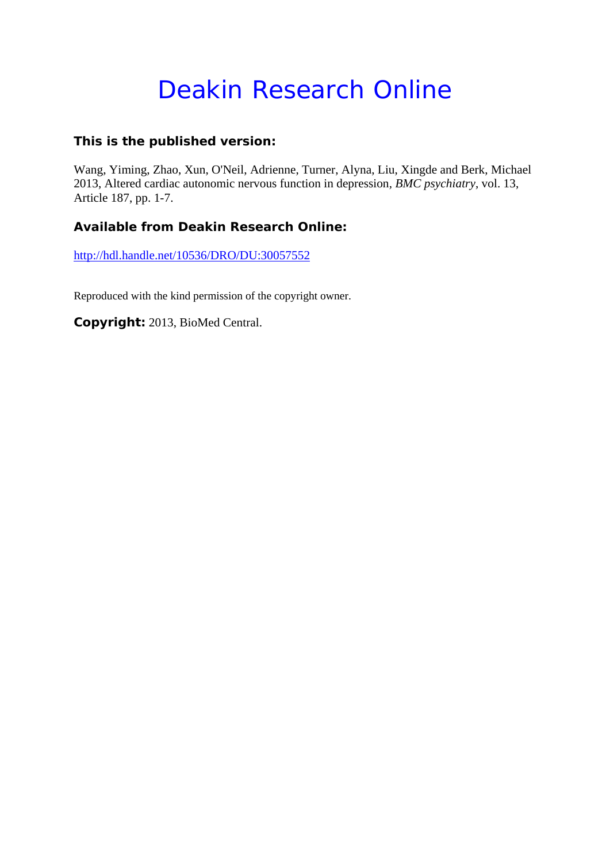# Deakin Research Online

# **This is the published version:**

Wang, Yiming, Zhao, Xun, O'Neil, Adrienne, Turner, Alyna, Liu, Xingde and Berk, Michael 2013, Altered cardiac autonomic nervous function in depression*, BMC psychiatry*, vol. 13, Article 187, pp. 1-7.

# **Available from Deakin Research Online:**

http://hdl.handle.net/10536/DRO/DU:30057552

Reproduced with the kind permission of the copyright owner.

**Copyright:** 2013, BioMed Central.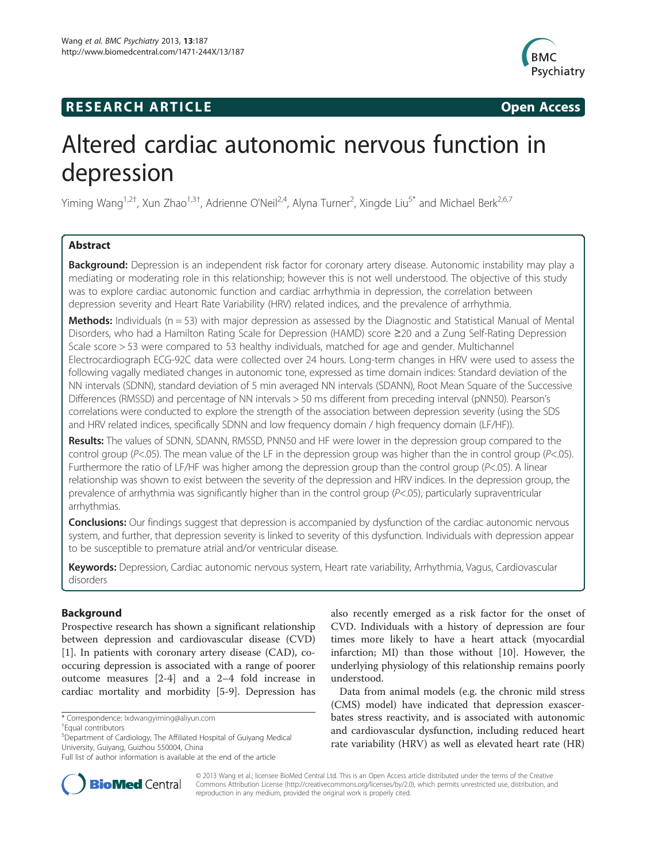# **RESEARCH ARTICLE Example 2014 The SEAR CH ACCESS**



# Altered cardiac autonomic nervous function in depression

Yiming Wang<sup>1,2†</sup>, Xun Zhao<sup>1,3†</sup>, Adrienne O'Neil<sup>2,4</sup>, Alyna Turner<sup>2</sup>, Xingde Liu<sup>5\*</sup> and Michael Berk<sup>2,6,7</sup>

# Abstract

Background: Depression is an independent risk factor for coronary artery disease. Autonomic instability may play a mediating or moderating role in this relationship; however this is not well understood. The objective of this study was to explore cardiac autonomic function and cardiac arrhythmia in depression, the correlation between depression severity and Heart Rate Variability (HRV) related indices, and the prevalence of arrhythmia.

Methods: Individuals (n = 53) with major depression as assessed by the Diagnostic and Statistical Manual of Mental Disorders, who had a Hamilton Rating Scale for Depression (HAMD) score ≥20 and a Zung Self-Rating Depression Scale score > 53 were compared to 53 healthy individuals, matched for age and gender. Multichannel Electrocardiograph ECG-92C data were collected over 24 hours. Long-term changes in HRV were used to assess the following vagally mediated changes in autonomic tone, expressed as time domain indices: Standard deviation of the NN intervals (SDNN), standard deviation of 5 min averaged NN intervals (SDANN), Root Mean Square of the Successive Differences (RMSSD) and percentage of NN intervals > 50 ms different from preceding interval (pNN50). Pearson's correlations were conducted to explore the strength of the association between depression severity (using the SDS and HRV related indices, specifically SDNN and low frequency domain / high frequency domain (LF/HF)).

Results: The values of SDNN, SDANN, RMSSD, PNN50 and HF were lower in the depression group compared to the control group ( $P<.05$ ). The mean value of the LF in the depression group was higher than the in control group ( $P<.05$ ). Furthermore the ratio of LF/HF was higher among the depression group than the control group ( $P<.05$ ). A linear relationship was shown to exist between the severity of the depression and HRV indices. In the depression group, the prevalence of arrhythmia was significantly higher than in the control group (P<.05), particularly supraventricular arrhythmias.

**Conclusions:** Our findings suggest that depression is accompanied by dysfunction of the cardiac autonomic nervous system, and further, that depression severity is linked to severity of this dysfunction. Individuals with depression appear to be susceptible to premature atrial and/or ventricular disease.

Keywords: Depression, Cardiac autonomic nervous system, Heart rate variability, Arrhythmia, Vagus, Cardiovascular disorders

# Background

Prospective research has shown a significant relationship between depression and cardiovascular disease (CVD) [[1\]](#page-6-0). In patients with coronary artery disease (CAD), cooccuring depression is associated with a range of poorer outcome measures [[2-4](#page-6-0)] and a 2–4 fold increase in cardiac mortality and morbidity [\[5](#page-6-0)-[9\]](#page-6-0). Depression has

also recently emerged as a risk factor for the onset of CVD. Individuals with a history of depression are four times more likely to have a heart attack (myocardial infarction; MI) than those without [\[10](#page-6-0)]. However, the underlying physiology of this relationship remains poorly understood.

Data from animal models (e.g. the chronic mild stress (CMS) model) have indicated that depression exascerbates stress reactivity, and is associated with autonomic and cardiovascular dysfunction, including reduced heart rate variability (HRV) as well as elevated heart rate (HR)



© 2013 Wang et al.; licensee BioMed Central Ltd. This is an Open Access article distributed under the terms of the Creative Commons Attribution License [\(http://creativecommons.org/licenses/by/2.0\)](http://dx.doi.org/10.1155/2012/931943), which permits unrestricted use, distribution, and reproduction in any medium, provided the original work is properly cited.

<sup>\*</sup> Correspondence: [lxdwangyiming@aliyun.com](mailto:lxdwangyiming@aliyun.com) †

Equal contributors

<sup>5</sup> Department of Cardiology, The Affiliated Hospital of Guiyang Medical University, Guiyang, Guizhou 550004, China

Full list of author information is available at the end of the article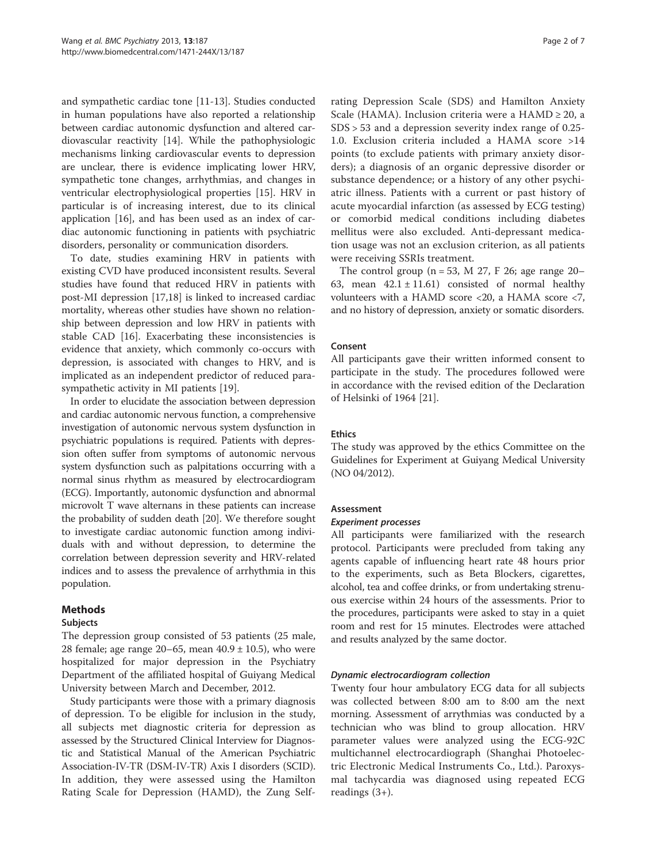and sympathetic cardiac tone [[11](#page-6-0)-[13\]](#page-6-0). Studies conducted in human populations have also reported a relationship between cardiac autonomic dysfunction and altered cardiovascular reactivity [\[14](#page-6-0)]. While the pathophysiologic mechanisms linking cardiovascular events to depression are unclear, there is evidence implicating lower HRV, sympathetic tone changes, arrhythmias, and changes in ventricular electrophysiological properties [[15](#page-6-0)]. HRV in particular is of increasing interest, due to its clinical application [[16\]](#page-6-0), and has been used as an index of cardiac autonomic functioning in patients with psychiatric disorders, personality or communication disorders.

To date, studies examining HRV in patients with existing CVD have produced inconsistent results. Several studies have found that reduced HRV in patients with post-MI depression [[17,18\]](#page-7-0) is linked to increased cardiac mortality, whereas other studies have shown no relationship between depression and low HRV in patients with stable CAD [\[16](#page-6-0)]. Exacerbating these inconsistencies is evidence that anxiety, which commonly co-occurs with depression, is associated with changes to HRV, and is implicated as an independent predictor of reduced parasympathetic activity in MI patients [\[19](#page-7-0)].

In order to elucidate the association between depression and cardiac autonomic nervous function, a comprehensive investigation of autonomic nervous system dysfunction in psychiatric populations is required. Patients with depression often suffer from symptoms of autonomic nervous system dysfunction such as palpitations occurring with a normal sinus rhythm as measured by electrocardiogram (ECG). Importantly, autonomic dysfunction and abnormal microvolt T wave alternans in these patients can increase the probability of sudden death [\[20\]](#page-7-0). We therefore sought to investigate cardiac autonomic function among individuals with and without depression, to determine the correlation between depression severity and HRV-related indices and to assess the prevalence of arrhythmia in this population.

# Methods

# Subjects

The depression group consisted of 53 patients (25 male, 28 female; age range 20–65, mean  $40.9 \pm 10.5$ ), who were hospitalized for major depression in the Psychiatry Department of the affiliated hospital of Guiyang Medical University between March and December, 2012.

Study participants were those with a primary diagnosis of depression. To be eligible for inclusion in the study, all subjects met diagnostic criteria for depression as assessed by the Structured Clinical Interview for Diagnostic and Statistical Manual of the American Psychiatric Association-IV-TR (DSM-IV-TR) Axis I disorders (SCID). In addition, they were assessed using the Hamilton Rating Scale for Depression (HAMD), the Zung Selfrating Depression Scale (SDS) and Hamilton Anxiety Scale (HAMA). Inclusion criteria were a HAMD ≥ 20, a SDS > 53 and a depression severity index range of 0.25- 1.0. Exclusion criteria included a HAMA score >14 points (to exclude patients with primary anxiety disorders); a diagnosis of an organic depressive disorder or substance dependence; or a history of any other psychiatric illness. Patients with a current or past history of acute myocardial infarction (as assessed by ECG testing) or comorbid medical conditions including diabetes mellitus were also excluded. Anti-depressant medication usage was not an exclusion criterion, as all patients were receiving SSRIs treatment.

The control group ( $n = 53$ , M 27, F 26; age range 20– 63, mean  $42.1 \pm 11.61$  consisted of normal healthy volunteers with a HAMD score <20, a HAMA score <7, and no history of depression, anxiety or somatic disorders.

# Consent

All participants gave their written informed consent to participate in the study. The procedures followed were in accordance with the revised edition of the Declaration of Helsinki of 1964 [[21\]](#page-7-0).

# **Ethics**

The study was approved by the ethics Committee on the Guidelines for Experiment at Guiyang Medical University (NO 04/2012).

# Assessment

#### Experiment processes

All participants were familiarized with the research protocol. Participants were precluded from taking any agents capable of influencing heart rate 48 hours prior to the experiments, such as Beta Blockers, cigarettes, alcohol, tea and coffee drinks, or from undertaking strenuous exercise within 24 hours of the assessments. Prior to the procedures, participants were asked to stay in a quiet room and rest for 15 minutes. Electrodes were attached and results analyzed by the same doctor.

#### Dynamic electrocardiogram collection

Twenty four hour ambulatory ECG data for all subjects was collected between 8:00 am to 8:00 am the next morning. Assessment of arrythmias was conducted by a technician who was blind to group allocation. HRV parameter values were analyzed using the ECG-92C multichannel electrocardiograph (Shanghai Photoelectric Electronic Medical Instruments Co., Ltd.). Paroxysmal tachycardia was diagnosed using repeated ECG readings (3+).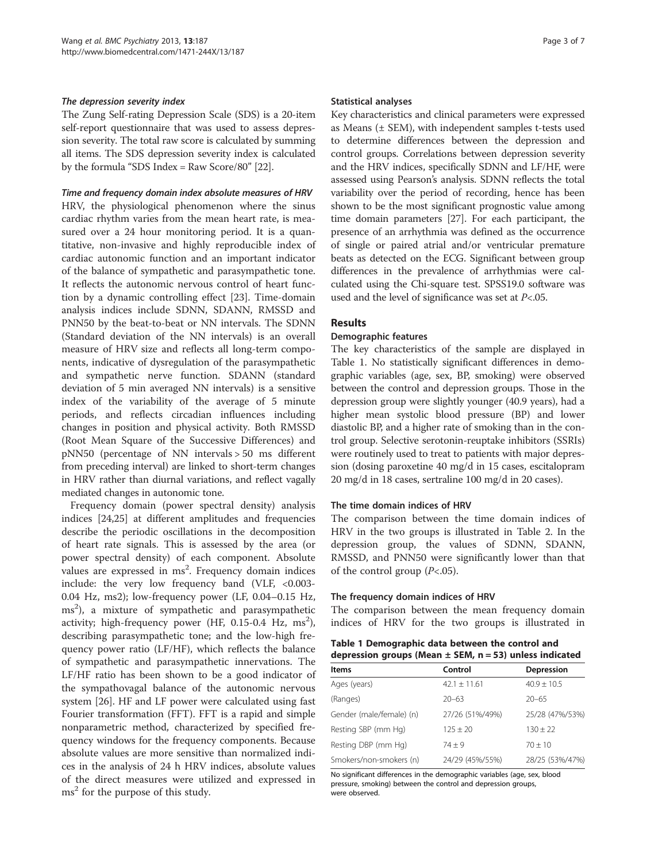#### The depression severity index

The Zung Self-rating Depression Scale (SDS) is a 20-item self-report questionnaire that was used to assess depression severity. The total raw score is calculated by summing all items. The SDS depression severity index is calculated by the formula "SDS Index = Raw Score/80" [\[22\]](#page-7-0).

Time and frequency domain index absolute measures of HRV HRV, the physiological phenomenon where the sinus cardiac rhythm varies from the mean heart rate, is measured over a 24 hour monitoring period. It is a quantitative, non-invasive and highly reproducible index of cardiac autonomic function and an important indicator of the balance of sympathetic and parasympathetic tone. It reflects the autonomic nervous control of heart function by a dynamic controlling effect [\[23](#page-7-0)]. Time-domain analysis indices include SDNN, SDANN, RMSSD and PNN50 by the beat-to-beat or NN intervals. The SDNN (Standard deviation of the NN intervals) is an overall measure of HRV size and reflects all long-term components, indicative of dysregulation of the parasympathetic and sympathetic nerve function. SDANN (standard deviation of 5 min averaged NN intervals) is a sensitive index of the variability of the average of 5 minute periods, and reflects circadian influences including changes in position and physical activity. Both RMSSD (Root Mean Square of the Successive Differences) and pNN50 (percentage of NN intervals > 50 ms different from preceding interval) are linked to short-term changes in HRV rather than diurnal variations, and reflect vagally mediated changes in autonomic tone.

Frequency domain (power spectral density) analysis indices [\[24,25\]](#page-7-0) at different amplitudes and frequencies describe the periodic oscillations in the decomposition of heart rate signals. This is assessed by the area (or power spectral density) of each component. Absolute values are expressed in ms<sup>2</sup>. Frequency domain indices include: the very low frequency band (VLF, <0.003- 0.04 Hz, ms2); low-frequency power (LF, 0.04–0.15 Hz, ms<sup>2</sup>), a mixture of sympathetic and parasympathetic activity; high-frequency power (HF,  $0.15$ -0.4 Hz,  $\text{ms}^2$ ), describing parasympathetic tone; and the low-high frequency power ratio (LF/HF), which reflects the balance of sympathetic and parasympathetic innervations. The LF/HF ratio has been shown to be a good indicator of the sympathovagal balance of the autonomic nervous system [[26\]](#page-7-0). HF and LF power were calculated using fast Fourier transformation (FFT). FFT is a rapid and simple nonparametric method, characterized by specified frequency windows for the frequency components. Because absolute values are more sensitive than normalized indices in the analysis of 24 h HRV indices, absolute values of the direct measures were utilized and expressed in  $\text{ms}^2$  for the purpose of this study.

#### Statistical analyses

Key characteristics and clinical parameters were expressed as Means (± SEM), with independent samples t-tests used to determine differences between the depression and control groups. Correlations between depression severity and the HRV indices, specifically SDNN and LF/HF, were assessed using Pearson's analysis. SDNN reflects the total variability over the period of recording, hence has been shown to be the most significant prognostic value among time domain parameters [[27](#page-7-0)]. For each participant, the presence of an arrhythmia was defined as the occurrence of single or paired atrial and/or ventricular premature beats as detected on the ECG. Significant between group differences in the prevalence of arrhythmias were calculated using the Chi-square test. SPSS19.0 software was used and the level of significance was set at  $P<0.05$ .

#### Results

#### Demographic features

The key characteristics of the sample are displayed in Table 1. No statistically significant differences in demographic variables (age, sex, BP, smoking) were observed between the control and depression groups. Those in the depression group were slightly younger (40.9 years), had a higher mean systolic blood pressure (BP) and lower diastolic BP, and a higher rate of smoking than in the control group. Selective serotonin-reuptake inhibitors (SSRIs) were routinely used to treat to patients with major depression (dosing paroxetine 40 mg/d in 15 cases, escitalopram 20 mg/d in 18 cases, sertraline 100 mg/d in 20 cases).

#### The time domain indices of HRV

The comparison between the time domain indices of HRV in the two groups is illustrated in Table [2.](#page-4-0) In the depression group, the values of SDNN, SDANN, RMSSD, and PNN50 were significantly lower than that of the control group  $(P<.05)$ .

#### The frequency domain indices of HRV

The comparison between the mean frequency domain indices of HRV for the two groups is illustrated in

#### Table 1 Demographic data between the control and depression groups (Mean  $\pm$  SEM, n = 53) unless indicated

| Items                    | Control          | Depression      |
|--------------------------|------------------|-----------------|
| Ages (years)             | $42.1 \pm 11.61$ | $40.9 \pm 10.5$ |
| (Ranges)                 | $20 - 63$        | $20 - 65$       |
| Gender (male/female) (n) | 27/26 (51%/49%)  | 25/28 (47%/53%) |
| Resting SBP (mm Hg)      | $125 \pm 20$     | $130 \pm 22$    |
| Resting DBP (mm Hg)      | $74 + 9$         | $70 + 10$       |
| Smokers/non-smokers (n)  | 24/29 (45%/55%)  | 28/25 (53%/47%) |

No significant differences in the demographic variables (age, sex, blood pressure, smoking) between the control and depression groups, were observed.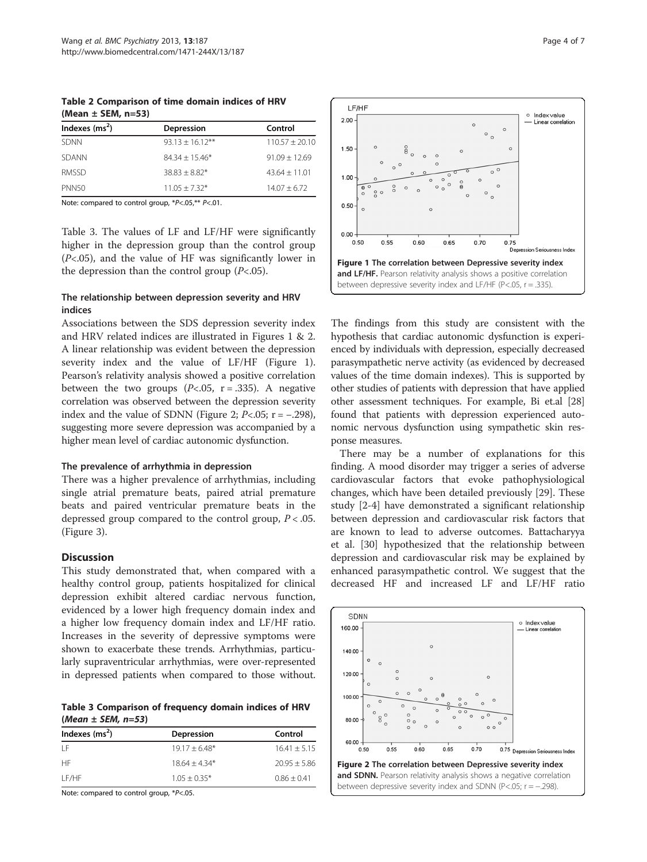<span id="page-4-0"></span>Table 2 Comparison of time domain indices of HRV  $(Mean \pm SEM, n=53)$ 

| Indexes $(ms^2)$ | <b>Depression</b> | Control          |
|------------------|-------------------|------------------|
| <b>SDNN</b>      | $93.13 + 16.12**$ | $110.57 + 20.10$ |
| SDANN            | $84.34 + 15.46*$  | $91.09 + 12.69$  |
| <b>RMSSD</b>     | $38.83 + 8.82*$   | $43.64 + 11.01$  |
| PNN50            | $11.05 + 7.32*$   | $14.07 + 6.72$   |
|                  |                   |                  |

Note: compared to control group, \*P<.05,\*\* P<.01.

Table 3. The values of LF and LF/HF were significantly higher in the depression group than the control group  $(P<.05)$ , and the value of HF was significantly lower in the depression than the control group  $(P<.05)$ .

# The relationship between depression severity and HRV indices

Associations between the SDS depression severity index and HRV related indices are illustrated in Figures 1 & 2. A linear relationship was evident between the depression severity index and the value of LF/HF (Figure 1). Pearson's relativity analysis showed a positive correlation between the two groups  $(P<sub>0</sub>, 05, r = .335)$ . A negative correlation was observed between the depression severity index and the value of SDNN (Figure 2;  $P < .05$ ; r = -.298), suggesting more severe depression was accompanied by a higher mean level of cardiac autonomic dysfunction.

# The prevalence of arrhythmia in depression

There was a higher prevalence of arrhythmias, including single atrial premature beats, paired atrial premature beats and paired ventricular premature beats in the depressed group compared to the control group,  $P < .05$ . (Figure [3](#page-5-0)).

# **Discussion**

This study demonstrated that, when compared with a healthy control group, patients hospitalized for clinical depression exhibit altered cardiac nervous function, evidenced by a lower high frequency domain index and a higher low frequency domain index and LF/HF ratio. Increases in the severity of depressive symptoms were shown to exacerbate these trends. Arrhythmias, particularly supraventricular arrhythmias, were over-represented in depressed patients when compared to those without.

Table 3 Comparison of frequency domain indices of HRV  $(Mean \pm SEM, n=53)$ 

| Indexes $(ms^2)$ | <b>Depression</b> | Control        |
|------------------|-------------------|----------------|
| ΤF               | $19.17 + 6.48*$   | $16.41 + 5.15$ |
| <b>HF</b>        | $18.64 + 4.34*$   | $20.95 + 5.86$ |
| I F/HF           | $1.05 + 0.35*$    | $0.86 + 0.41$  |

Note: compared to control group, \*P<.05.



and LF/HF. Pearson relativity analysis shows a positive correlation between depressive severity index and LF/HF (P<.05,  $r = .335$ ).

The findings from this study are consistent with the hypothesis that cardiac autonomic dysfunction is experienced by individuals with depression, especially decreased parasympathetic nerve activity (as evidenced by decreased values of the time domain indexes). This is supported by other studies of patients with depression that have applied other assessment techniques. For example, Bi et.al [[28](#page-7-0)] found that patients with depression experienced autonomic nervous dysfunction using sympathetic skin response measures.

There may be a number of explanations for this finding. A mood disorder may trigger a series of adverse cardiovascular factors that evoke pathophysiological changes, which have been detailed previously [\[29\]](#page-7-0). These study [[2-4\]](#page-6-0) have demonstrated a significant relationship between depression and cardiovascular risk factors that are known to lead to adverse outcomes. Battacharyya et al. [\[30\]](#page-7-0) hypothesized that the relationship between depression and cardiovascular risk may be explained by enhanced parasympathetic control. We suggest that the decreased HF and increased LF and LF/HF ratio

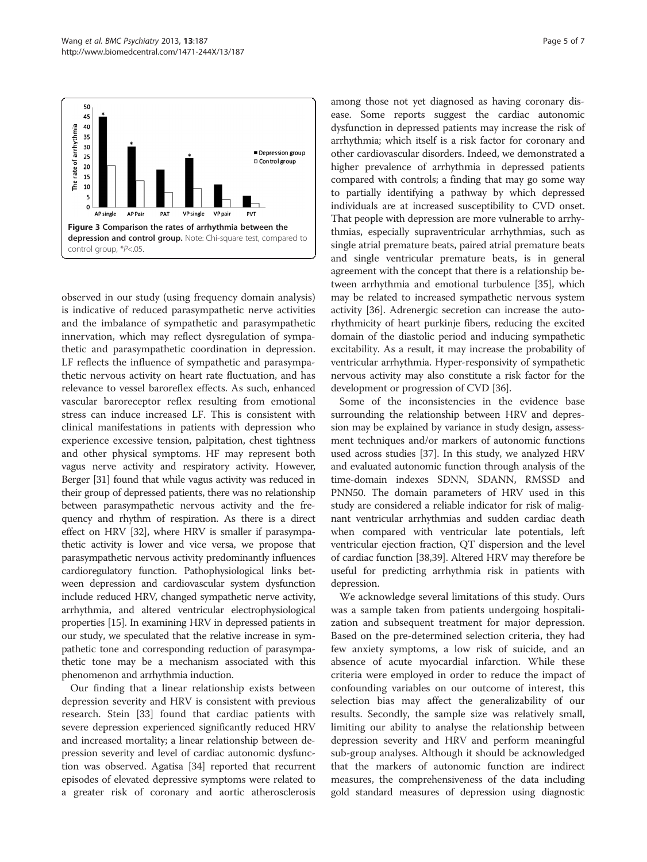<span id="page-5-0"></span>

observed in our study (using frequency domain analysis) is indicative of reduced parasympathetic nerve activities and the imbalance of sympathetic and parasympathetic innervation, which may reflect dysregulation of sympathetic and parasympathetic coordination in depression. LF reflects the influence of sympathetic and parasympathetic nervous activity on heart rate fluctuation, and has relevance to vessel baroreflex effects. As such, enhanced vascular baroreceptor reflex resulting from emotional stress can induce increased LF. This is consistent with clinical manifestations in patients with depression who experience excessive tension, palpitation, chest tightness and other physical symptoms. HF may represent both vagus nerve activity and respiratory activity. However, Berger [[31](#page-7-0)] found that while vagus activity was reduced in their group of depressed patients, there was no relationship between parasympathetic nervous activity and the frequency and rhythm of respiration. As there is a direct effect on HRV [\[32](#page-7-0)], where HRV is smaller if parasympathetic activity is lower and vice versa, we propose that parasympathetic nervous activity predominantly influences cardioregulatory function. Pathophysiological links between depression and cardiovascular system dysfunction include reduced HRV, changed sympathetic nerve activity, arrhythmia, and altered ventricular electrophysiological properties [\[15\]](#page-6-0). In examining HRV in depressed patients in our study, we speculated that the relative increase in sympathetic tone and corresponding reduction of parasympathetic tone may be a mechanism associated with this phenomenon and arrhythmia induction.

Our finding that a linear relationship exists between depression severity and HRV is consistent with previous research. Stein [[33](#page-7-0)] found that cardiac patients with severe depression experienced significantly reduced HRV and increased mortality; a linear relationship between depression severity and level of cardiac autonomic dysfunction was observed. Agatisa [\[34](#page-7-0)] reported that recurrent episodes of elevated depressive symptoms were related to a greater risk of coronary and aortic atherosclerosis among those not yet diagnosed as having coronary disease. Some reports suggest the cardiac autonomic dysfunction in depressed patients may increase the risk of arrhythmia; which itself is a risk factor for coronary and other cardiovascular disorders. Indeed, we demonstrated a higher prevalence of arrhythmia in depressed patients compared with controls; a finding that may go some way to partially identifying a pathway by which depressed individuals are at increased susceptibility to CVD onset. That people with depression are more vulnerable to arrhythmias, especially supraventricular arrhythmias, such as single atrial premature beats, paired atrial premature beats and single ventricular premature beats, is in general agreement with the concept that there is a relationship between arrhythmia and emotional turbulence [\[35](#page-7-0)], which may be related to increased sympathetic nervous system activity [\[36\]](#page-7-0). Adrenergic secretion can increase the autorhythmicity of heart purkinje fibers, reducing the excited domain of the diastolic period and inducing sympathetic excitability. As a result, it may increase the probability of ventricular arrhythmia. Hyper-responsivity of sympathetic nervous activity may also constitute a risk factor for the development or progression of CVD [\[36\]](#page-7-0).

Some of the inconsistencies in the evidence base surrounding the relationship between HRV and depression may be explained by variance in study design, assessment techniques and/or markers of autonomic functions used across studies [[37](#page-7-0)]. In this study, we analyzed HRV and evaluated autonomic function through analysis of the time-domain indexes SDNN, SDANN, RMSSD and PNN50. The domain parameters of HRV used in this study are considered a reliable indicator for risk of malignant ventricular arrhythmias and sudden cardiac death when compared with ventricular late potentials, left ventricular ejection fraction, QT dispersion and the level of cardiac function [\[38,39](#page-7-0)]. Altered HRV may therefore be useful for predicting arrhythmia risk in patients with depression.

We acknowledge several limitations of this study. Ours was a sample taken from patients undergoing hospitalization and subsequent treatment for major depression. Based on the pre-determined selection criteria, they had few anxiety symptoms, a low risk of suicide, and an absence of acute myocardial infarction. While these criteria were employed in order to reduce the impact of confounding variables on our outcome of interest, this selection bias may affect the generalizability of our results. Secondly, the sample size was relatively small, limiting our ability to analyse the relationship between depression severity and HRV and perform meaningful sub-group analyses. Although it should be acknowledged that the markers of autonomic function are indirect measures, the comprehensiveness of the data including gold standard measures of depression using diagnostic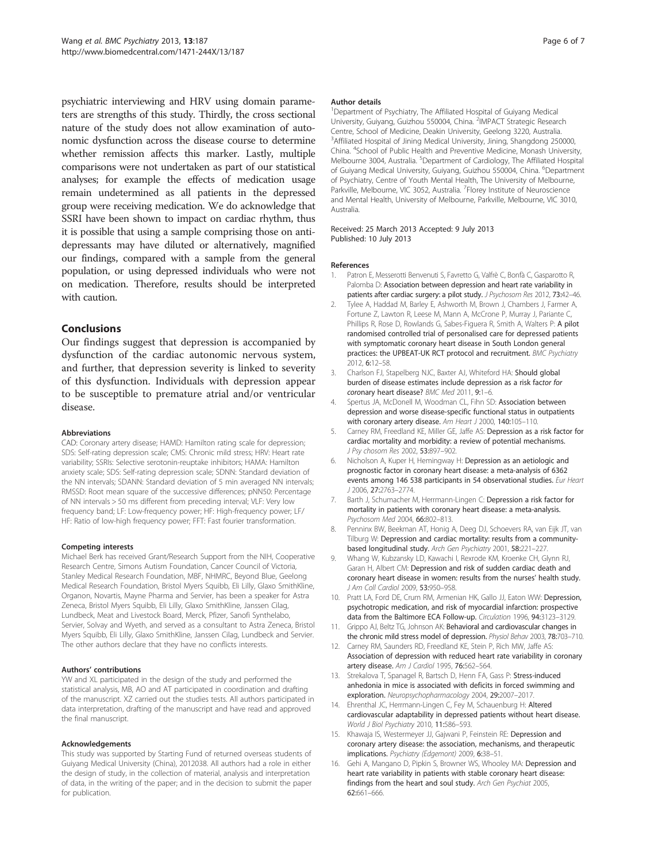<span id="page-6-0"></span>psychiatric interviewing and HRV using domain parameters are strengths of this study. Thirdly, the cross sectional nature of the study does not allow examination of autonomic dysfunction across the disease course to determine whether remission affects this marker. Lastly, multiple comparisons were not undertaken as part of our statistical analyses; for example the effects of medication usage remain undetermined as all patients in the depressed group were receiving medication. We do acknowledge that SSRI have been shown to impact on cardiac rhythm, thus it is possible that using a sample comprising those on antidepressants may have diluted or alternatively, magnified our findings, compared with a sample from the general population, or using depressed individuals who were not on medication. Therefore, results should be interpreted with caution.

#### Conclusions

Our findings suggest that depression is accompanied by dysfunction of the cardiac autonomic nervous system, and further, that depression severity is linked to severity of this dysfunction. Individuals with depression appear to be susceptible to premature atrial and/or ventricular disease.

#### Abbreviations

CAD: Coronary artery disease; HAMD: Hamilton rating scale for depression; SDS: Self-rating depression scale; CMS: Chronic mild stress; HRV: Heart rate variability; SSRIs: Selective serotonin-reuptake inhibitors; HAMA: Hamilton anxiety scale; SDS: Self-rating depression scale; SDNN: Standard deviation of the NN intervals; SDANN: Standard deviation of 5 min averaged NN intervals; RMSSD: Root mean square of the successive differences; pNN50: Percentage of NN intervals > 50 ms different from preceding interval; VLF: Very low frequency band; LF: Low-frequency power; HF: High-frequency power; LF/ HF: Ratio of low-high frequency power; FFT: Fast fourier transformation.

#### Competing interests

Michael Berk has received Grant/Research Support from the NIH, Cooperative Research Centre, Simons Autism Foundation, Cancer Council of Victoria, Stanley Medical Research Foundation, MBF, NHMRC, Beyond Blue, Geelong Medical Research Foundation, Bristol Myers Squibb, Eli Lilly, Glaxo SmithKline, Organon, Novartis, Mayne Pharma and Servier, has been a speaker for Astra Zeneca, Bristol Myers Squibb, Eli Lilly, Glaxo SmithKline, Janssen Cilag, Lundbeck, Meat and Livestock Board, Merck, Pfizer, Sanofi Synthelabo, Servier, Solvay and Wyeth, and served as a consultant to Astra Zeneca, Bristol Myers Squibb, Eli Lilly, Glaxo SmithKline, Janssen Cilag, Lundbeck and Servier. The other authors declare that they have no conflicts interests.

#### Authors' contributions

YW and XL participated in the design of the study and performed the statistical analysis, MB, AO and AT participated in coordination and drafting of the manuscript. XZ carried out the studies tests. All authors participated in data interpretation, drafting of the manuscript and have read and approved the final manuscript.

#### Acknowledgements

This study was supported by Starting Fund of returned overseas students of Guiyang Medical University (China), 2012038. All authors had a role in either the design of study, in the collection of material, analysis and interpretation of data, in the writing of the paper; and in the decision to submit the paper for publication.

#### Author details

<sup>1</sup>Department of Psychiatry, The Affiliated Hospital of Guiyang Medical University, Guiyang, Guizhou 550004, China. <sup>2</sup>IMPACT Strategic Research Centre, School of Medicine, Deakin University, Geelong 3220, Australia. <sup>3</sup> Affiliated Hospital of Jining Medical University, Jining, Shangdong 250000, China. <sup>4</sup>School of Public Health and Preventive Medicine, Monash University, Melbourne 3004, Australia. <sup>5</sup>Department of Cardiology, The Affiliated Hospital of Guiyang Medical University, Guiyang, Guizhou 550004, China. <sup>6</sup>Department of Psychiatry, Centre of Youth Mental Health, The University of Melbourne, Parkville, Melbourne, VIC 3052, Australia. <sup>7</sup>Florey Institute of Neuroscience and Mental Health, University of Melbourne, Parkville, Melbourne, VIC 3010, Australia.

#### Received: 25 March 2013 Accepted: 9 July 2013 Published: 10 July 2013

#### References

- Patron E, Messerotti Benvenuti S, Favretto G, Valfrè C, Bonfà C, Gasparotto R, Palomba D: Association between depression and heart rate variability in patients after cardiac surgery: a pilot study. J Psychosom Res 2012, 73:42-46.
- 2. Tylee A, Haddad M, Barley E, Ashworth M, Brown J, Chambers J, Farmer A, Fortune Z, Lawton R, Leese M, Mann A, McCrone P, Murray J, Pariante C, Phillips R, Rose D, Rowlands G, Sabes-Figuera R, Smith A, Walters P: A pilot randomised controlled trial of personalised care for depressed patients with symptomatic coronary heart disease in South London general practices: the UPBEAT-UK RCT protocol and recruitment. BMC Psychiatry 2012, 6:12–58.
- 3. Charlson FJ, Stapelberg NJC, Baxter AJ, Whiteford HA: Should global burden of disease estimates include depression as a risk factor for coronary heart disease? BMC Med 2011, 9:1–6.
- 4. Spertus JA, McDonell M, Woodman CL, Fihn SD: Association between depression and worse disease-specific functional status in outpatients with coronary artery disease. Am Heart J 2000, 140:105-110.
- Carney RM, Freedland KE, Miller GE, Jaffe AS: Depression as a risk factor for cardiac mortality and morbidity: a review of potential mechanisms. J Psy chosom Res 2002, 53:897–902.
- 6. Nicholson A, Kuper H, Hemingway H: Depression as an aetiologic and prognostic factor in coronary heart disease: a meta-analysis of 6362 events among 146 538 participants in 54 observational studies. Eur Heart J 2006, 27:2763–2774.
- Barth J, Schumacher M, Herrmann-Lingen C: Depression a risk factor for mortality in patients with coronary heart disease: a meta-analysis. Psychosom Med 2004, 66:802–813.
- 8. Penninx BW, Beekman AT, Honig A, Deeg DJ, Schoevers RA, van Eijk JT, van Tilburg W: Depression and cardiac mortality: results from a communitybased longitudinal study. Arch Gen Psychiatry 2001, 58:221–227.
- 9. Whang W, Kubzansky LD, Kawachi I, Rexrode KM, Kroenke CH, Glynn RJ, Garan H, Albert CM: Depression and risk of sudden cardiac death and coronary heart disease in women: results from the nurses' health study. J Am Coll Cardiol 2009, 53:950–958.
- 10. Pratt LA, Ford DE, Crum RM, Armenian HK, Gallo JJ, Eaton WW: Depression, psychotropic medication, and risk of myocardial infarction: prospective data from the Baltimore ECA Follow-up. Circulation 1996, 94:3123–3129.
- 11. Grippo AJ, Beltz TG, Johnson AK: Behavioral and cardiovascular changes in the chronic mild stress model of depression. Physiol Behav 2003, 78:703-710.
- 12. Carney RM, Saunders RD, Freedland KE, Stein P, Rich MW, Jaffe AS: Association of depression with reduced heart rate variability in coronary artery disease. Am J Cardiol 1995, 76:562-564.
- 13. Strekalova T, Spanagel R, Bartsch D, Henn FA, Gass P: Stress-induced anhedonia in mice is associated with deficits in forced swimming and exploration. Neuropsychopharmacology 2004, 29:2007–2017.
- 14. Ehrenthal JC, Herrmann-Lingen C, Fey M, Schauenburg H: Altered cardiovascular adaptability in depressed patients without heart disease. World J Biol Psychiatry 2010, 11:586–593.
- 15. Khawaja IS, Westermeyer JJ, Gajwani P, Feinstein RE: Depression and coronary artery disease: the association, mechanisms, and therapeutic implications. Psychiatry (Edgemont) 2009, 6:38–51.
- 16. Gehi A, Mangano D, Pipkin S, Browner WS, Whooley MA: Depression and heart rate variability in patients with stable coronary heart disease: findings from the heart and soul study. Arch Gen Psychiat 2005, 62:661–666.